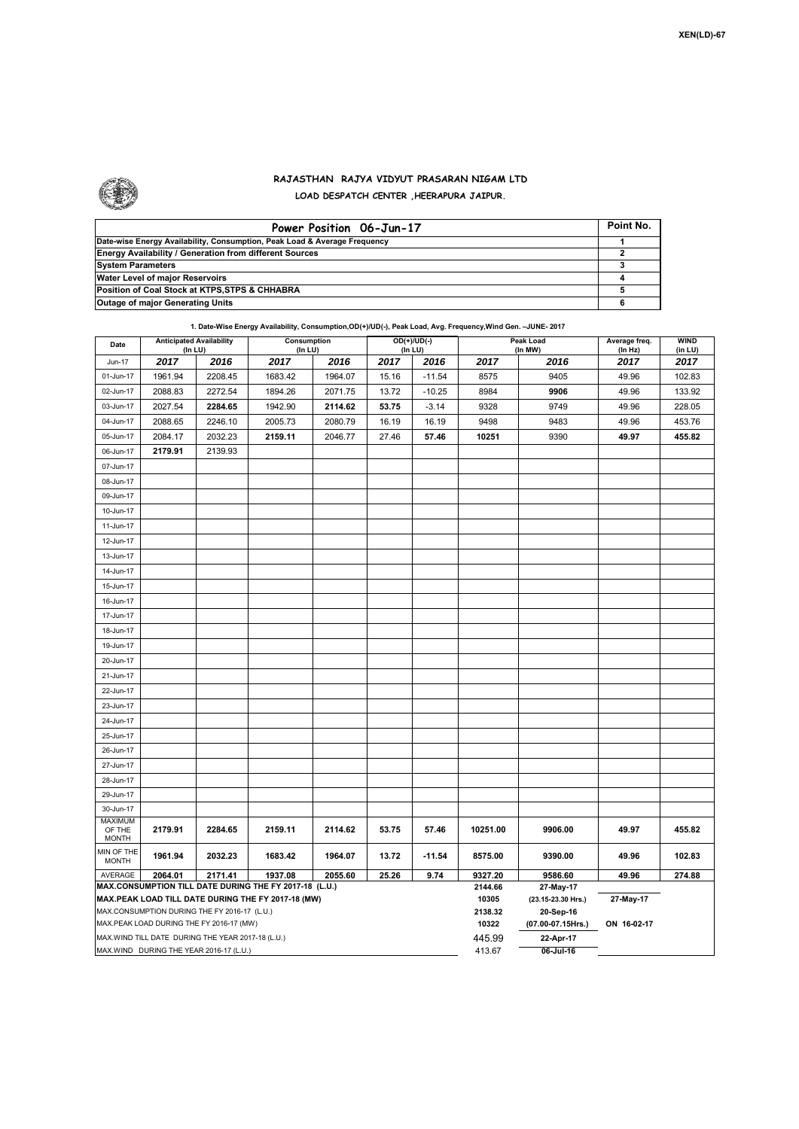

## **RAJASTHAN RAJYA VIDYUT PRASARAN NIGAM LTD LOAD DESPATCH CENTER ,HEERAPURA JAIPUR.**

| Power Position 06-Jun-17                                                  | Point No. |
|---------------------------------------------------------------------------|-----------|
| Date-wise Energy Availability, Consumption, Peak Load & Average Frequency |           |
| <b>Energy Availability / Generation from different Sources</b>            |           |
| <b>System Parameters</b>                                                  |           |
| Water Level of major Reservoirs                                           |           |
| Position of Coal Stock at KTPS, STPS & CHHABRA                            |           |
| <b>Outage of major Generating Units</b>                                   |           |

## **1. Date-Wise Energy Availability, Consumption,OD(+)/UD(-), Peak Load, Avg. Frequency,Wind Gen. –JUNE- 2017**

| Date                                     | <b>Anticipated Availability</b><br>(In LU)                                                                                                                   |         | Consumption<br>(In LU) |         | OD(+)/UD(-)<br>(In LU) |          |                  | Peak Load<br>(In MW)           | Average freq.<br>(ln Hz) | WIND<br>(in LU) |  |  |
|------------------------------------------|--------------------------------------------------------------------------------------------------------------------------------------------------------------|---------|------------------------|---------|------------------------|----------|------------------|--------------------------------|--------------------------|-----------------|--|--|
| <b>Jun-17</b>                            | 2017                                                                                                                                                         | 2016    | 2017                   | 2016    | 2017                   | 2016     | 2017             | 2016                           | 2017                     | 2017            |  |  |
| 01-Jun-17                                | 1961.94                                                                                                                                                      | 2208.45 | 1683.42                | 1964.07 | 15.16                  | $-11.54$ | 8575             | 9405                           | 49.96                    | 102.83          |  |  |
| 02-Jun-17                                | 2088.83                                                                                                                                                      | 2272.54 | 1894.26                | 2071.75 | 13.72                  | $-10.25$ | 8984             | 9906                           | 49.96                    | 133.92          |  |  |
| 03-Jun-17                                | 2027.54                                                                                                                                                      | 2284.65 | 1942.90                | 2114.62 | 53.75                  | $-3.14$  | 9328             | 9749                           | 49.96                    | 228.05          |  |  |
| 04-Jun-17                                | 2088.65                                                                                                                                                      | 2246.10 | 2005.73                | 2080.79 | 16.19                  | 16.19    | 9498             | 9483                           | 49.96                    | 453.76          |  |  |
| 05-Jun-17                                | 2084.17                                                                                                                                                      | 2032.23 | 2159.11                | 2046.77 | 27.46                  | 57.46    | 10251            | 9390                           | 49.97                    | 455.82          |  |  |
| 06-Jun-17                                | 2179.91                                                                                                                                                      | 2139.93 |                        |         |                        |          |                  |                                |                          |                 |  |  |
| 07-Jun-17                                |                                                                                                                                                              |         |                        |         |                        |          |                  |                                |                          |                 |  |  |
| 08-Jun-17                                |                                                                                                                                                              |         |                        |         |                        |          |                  |                                |                          |                 |  |  |
| 09-Jun-17                                |                                                                                                                                                              |         |                        |         |                        |          |                  |                                |                          |                 |  |  |
| 10-Jun-17                                |                                                                                                                                                              |         |                        |         |                        |          |                  |                                |                          |                 |  |  |
| 11-Jun-17                                |                                                                                                                                                              |         |                        |         |                        |          |                  |                                |                          |                 |  |  |
| 12-Jun-17                                |                                                                                                                                                              |         |                        |         |                        |          |                  |                                |                          |                 |  |  |
| 13-Jun-17                                |                                                                                                                                                              |         |                        |         |                        |          |                  |                                |                          |                 |  |  |
| 14-Jun-17                                |                                                                                                                                                              |         |                        |         |                        |          |                  |                                |                          |                 |  |  |
| 15-Jun-17                                |                                                                                                                                                              |         |                        |         |                        |          |                  |                                |                          |                 |  |  |
| 16-Jun-17                                |                                                                                                                                                              |         |                        |         |                        |          |                  |                                |                          |                 |  |  |
| 17-Jun-17                                |                                                                                                                                                              |         |                        |         |                        |          |                  |                                |                          |                 |  |  |
| 18-Jun-17                                |                                                                                                                                                              |         |                        |         |                        |          |                  |                                |                          |                 |  |  |
| 19-Jun-17                                |                                                                                                                                                              |         |                        |         |                        |          |                  |                                |                          |                 |  |  |
| 20-Jun-17                                |                                                                                                                                                              |         |                        |         |                        |          |                  |                                |                          |                 |  |  |
| 21-Jun-17                                |                                                                                                                                                              |         |                        |         |                        |          |                  |                                |                          |                 |  |  |
| 22-Jun-17                                |                                                                                                                                                              |         |                        |         |                        |          |                  |                                |                          |                 |  |  |
| 23-Jun-17                                |                                                                                                                                                              |         |                        |         |                        |          |                  |                                |                          |                 |  |  |
| 24-Jun-17                                |                                                                                                                                                              |         |                        |         |                        |          |                  |                                |                          |                 |  |  |
| 25-Jun-17                                |                                                                                                                                                              |         |                        |         |                        |          |                  |                                |                          |                 |  |  |
| 26-Jun-17                                |                                                                                                                                                              |         |                        |         |                        |          |                  |                                |                          |                 |  |  |
| 27-Jun-17                                |                                                                                                                                                              |         |                        |         |                        |          |                  |                                |                          |                 |  |  |
| 28-Jun-17                                |                                                                                                                                                              |         |                        |         |                        |          |                  |                                |                          |                 |  |  |
| 29-Jun-17                                |                                                                                                                                                              |         |                        |         |                        |          |                  |                                |                          |                 |  |  |
| 30-Jun-17                                |                                                                                                                                                              |         |                        |         |                        |          |                  |                                |                          |                 |  |  |
| <b>MAXIMUM</b><br>OF THE                 | 2179.91                                                                                                                                                      | 2284.65 | 2159.11                | 2114.62 | 53.75                  | 57.46    | 10251.00         | 9906.00                        | 49.97                    | 455.82          |  |  |
| <b>MONTH</b>                             |                                                                                                                                                              |         |                        |         |                        |          |                  |                                |                          |                 |  |  |
| MIN OF THE<br><b>MONTH</b>               | 1961.94                                                                                                                                                      | 2032.23 | 1683.42                | 1964.07 | 13.72                  | $-11.54$ | 8575.00          | 9390.00                        | 49.96                    | 102.83          |  |  |
| <b>AVERAGE</b>                           | 2064.01                                                                                                                                                      | 2171.41 | 1937.08                | 2055.60 | 25.26                  | 9.74     | 9327.20          | 9586.60                        | 49.96                    | 274.88          |  |  |
|                                          |                                                                                                                                                              |         |                        |         |                        |          |                  | 27-May-17                      |                          |                 |  |  |
|                                          | MAX.CONSUMPTION TILL DATE DURING THE FY 2017-18 (L.U.)<br>MAX.PEAK LOAD TILL DATE DURING THE FY 2017-18 (MW)<br>MAX.CONSUMPTION DURING THE FY 2016-17 (L.U.) |         |                        |         |                        |          |                  | (23.15-23.30 Hrs.)             | 27-May-17                |                 |  |  |
| MAX.PEAK LOAD DURING THE FY 2016-17 (MW) |                                                                                                                                                              |         |                        |         |                        |          | 2138.32<br>10322 | 20-Sep-16<br>(07.00-07.15Hrs.) | ON 16-02-17              |                 |  |  |
|                                          | MAX.WIND TILL DATE DURING THE YEAR 2017-18 (L.U.)                                                                                                            |         |                        |         |                        |          | 445.99           | 22-Apr-17                      |                          |                 |  |  |
|                                          | MAX.WIND DURING THE YEAR 2016-17 (L.U.)                                                                                                                      |         |                        |         |                        |          | 413.67           | $06$ -Jul-16                   |                          |                 |  |  |
|                                          |                                                                                                                                                              |         |                        |         |                        |          |                  |                                |                          |                 |  |  |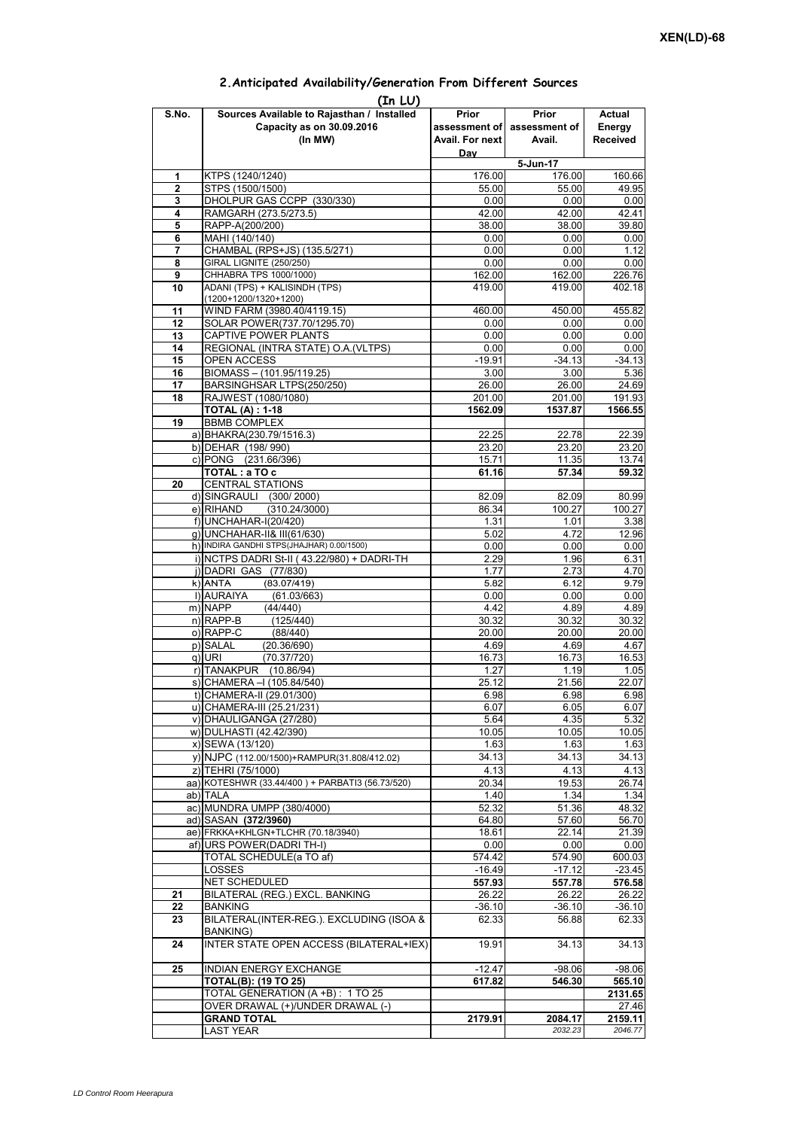## **Prior assessment of Avail. For next Day Prior assessment of Avail. Actual Energy Received 1 KTPS** (1240/1240) **176.00 176.00 176.00 160.66 2** STPS (1500/1500)<br> **3** DHOLPUR GAS CCPP (330/330)<br> **10.00** 0.00 0.00 0.00 0.00 **3** DHOLPUR GAS CCPP (330/330) **4** RAMGARH (273.5/273.5) 42.00 42.41<br> **5** RAPP-A(200/200) 38.00 38.00 39.80 **5** RAPP-A(200/200) **38.00** 38.00 38.00 **38.00 6** MAHI (140/140) 0.00 0.00 0.00 **7** CHAMBAL (RPS+JS) (135.5/271) 0.00 0.00 0.00 1.12 **8** GIRAL LIGNITE (250/250) 0.00 0.00 0.00 0.00 0.00<br>**9** CHHABRA TPS 1000/1000) 162.00 162.00 226.76 **9** CHHABRA TPS 1000/1000) **10** ADANI (TPS) + KALISINDH (TPS) (1200+1200/1320+1200) 419.00 419.00 402.18 **11** WIND FARM (3980.40/4119.15) 460.00 450.00 455.82 12 SOLAR POWER(737.70/1295.70) 0.00 0.00 0.00 0.00 **13** CAPTIVE POWER PLANTS 0.00 0.00 0.00 0.00 **14** REGIONAL (INTRA STATE) O.A.(VLTPS) 0.00 0.00 0.00 0.00 0.00 15 OPEN ACCESS -19.91 -34.13 -34.13<br>16 BIOMASS – (101.95/119.25) -25.36 -3.00 -3.00 -5.36 **BIOMASS – (101.95/119.25)** 17 BARSINGHSAR LTPS(250/250) 26.00 26.00 24.69 **18** RAJWEST (1080/1080) **191.93 18 201.00** 201.00 **191.93 TOTAL (A) : 1-18 1562.09 1537.87 1566.55 19** BBMB COMPLEX a) BHAKRA(230.79/1516.3) 22.25 22.78 22.39<br>b) DEHAR (198/990) 23.20 23.20 23.20 23.20 23.20 b) DEHAR (198/ 990) c) PONG (231.66/396) 15.71 11.35 13.74 **TOTAL : a TO c** 61.16 **61.16 61.16 61.16 67.34 69.32 20** CENTRAL STATIONS d) SINGRAULI (300/2000) 82.09 82.09 80.99<br>e) RIHAND (310.24/3000) 86.34 100.27 100.27  $(310.24/3000)$ f) UNCHAHAR-I(20/420)<br>f) UNCHAHAR-I(20/420) 1.31 1.01 3.38<br>g) UNCHAHAR-II& III(61/630) 5.02 4.72 12.96 g) UNCHAHAR-II& III(61/630) 5.02 4.72 h) INDIRA GANDHI STPS(JHAJHAR) 0.00/1500) 0.00 0.00 0.00 0.00 0.00 0.00 i) NCTPS DADRI St-II ( 43.22/980) + DADRI-TH 2.29 1.96 6.31 j) DADRI GAS (77/830) 1.77 2.73 4.70 k)|ANTA (83.07/419) 5.82 6.12 9.79<br>1)|AURAIYA (61.03/663) 0.00 0.00 0.00 0.00 **(In LU) S.No. Sources Available to Rajasthan / Installed Capacity as on 30.09.2016 (In MW) 5-Jun-17** ANTA (83.07/419)5.826.129.79l) AURAIYA (61.03/663) 0.00 0.00 0.00 m) NAPP (44/440) 4.42 4.89 4.89 n) RAPP-B (125/440) 30.32 30.32 30.32 o) RAPP-C (88/440) 20.00 20.00 20.00 p) SALAL (20.36/690) 4.69 4.69 4.67<br>q) URI (70.37/720) 4.673 16.73 16.53 q) URI (70.37/720) 16.73 16.73 16.53 r) TANAKPUR (10.86/94) 1.27 1.19 1.05<br>s) CHAMERA –I (105.84/540) 25.12 21.56 22.07 s) CHAMERA –I (105.84/540) t) CHAMERA-II (29.01/300) 6.98 6.98 6.98 6.98 u) CHAMERA-III (25.21/231) 6.07 6.07 6.05 6.07 v) DHAULIGANGA (27/280)  $\begin{array}{|c|c|c|c|c|c|c|c|c|} \hline \rule{0pt}{12pt} & 5.32 & 4.35 & 5.32 \ \hline \end{array}$ w) DULHASTI (42.42/390) 10.05 10.05 10.05 10.05 10.05 x) SEWA (13/120) 1.63 1.63 1.63 y) NJPC (112.00/1500) + RAMPUR(31.808/412.02) 34.13 34.13 z) TEHRI (75/1000) 4.13 4.13 4.13 aa) KOTESHWR (33.44/400) + PARBATI3 (56.73/520) ab) TALA 1.40 1.34 1.34 ac) MUNDRA UMPP (380/4000) 652.32 51.36 48.32 ad) SASAN **(372/3960)** 64.80 57.60 56.70<br>ae) FRKKA+KHLGN+TLCHR (70.18/3940) 18.61 22.14 21.39 ae) FRKKA+KHLGN+TLCHR (70.18/3940) af) URS POWER(DADRI TH-I) 0.00 0.00 0.00 TOTAL SCHEDULE(a TO af) 574.42 574.90 600.03 LOSSES -16.49 -17.12 -23.45 NET SCHEDULED **557.93 557.78 576.58 21** BILATERAL (REG.) EXCL. BANKING 26.22 26.22 26.22 **22** BANKING -36.10 -36.10 -36.10 -36.10 -36.10 **23** BILATERAL(INTER-REG.). EXCLUDING (ISOA & BANKING) 62.33 56.88 62.33 **24 INTER STATE OPEN ACCESS (BILATERAL+IEX) 19.91 34.13** 34.13 **25 INDIAN ENERGY EXCHANGE -12.47 -98.06 -98.06 TOTAL(B): (19 TO 25) 617.82 546.30 565.10** TOTAL GENERATION (A +B) : 1 TO 25 **2131.65** OVER DRAWAL (+)/UNDER DRAWAL (-) **GRAND TOTAL 2179.91** 2179.91 2084.17 2159.11 LAST YEAR *2032.23 2046.77*

## **2.Anticipated Availability/Generation From Different Sources**